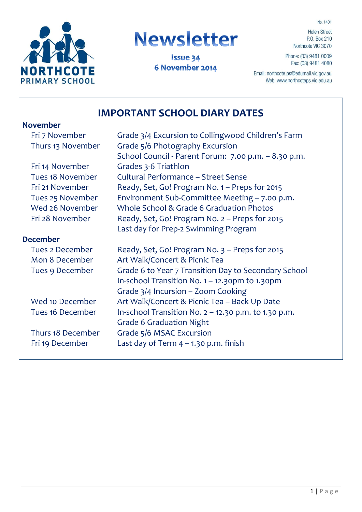No. 1401



# **Newsletter**

**Issue 34** 6 November 2014

**Helen Street** P.O. Box 210 Northcote VIC 3070

Phone: (03) 9481 0009 Fax: (03) 9481 4080

Email: northcote.ps@edumail.vic.gov.au Web: www.northcoteps.vic.edu.au

# **IMPORTANT SCHOOL DIARY DATES**

#### **November**

| Fri 7 November         | Grade 3/4 Excursion to Collingwood Children's Farm     |
|------------------------|--------------------------------------------------------|
| Thurs 13 November      | Grade 5/6 Photography Excursion                        |
|                        | School Council - Parent Forum: 7.00 p.m. - 8.30 p.m.   |
| Fri 14 November        | Grades 3-6 Triathlon                                   |
| Tues 18 November       | <b>Cultural Performance - Street Sense</b>             |
| Fri 21 November        | Ready, Set, Go! Program No. 1 - Preps for 2015         |
| Tues 25 November       | Environment Sub-Committee Meeting - 7.00 p.m.          |
| Wed 26 November        | Whole School & Grade 6 Graduation Photos               |
| Fri 28 November        | Ready, Set, Go! Program No. 2 - Preps for 2015         |
|                        | Last day for Prep-2 Swimming Program                   |
| <b>December</b>        |                                                        |
| <b>Tues 2 December</b> | Ready, Set, Go! Program No. 3 - Preps for 2015         |
| Mon 8 December         | Art Walk/Concert & Picnic Tea                          |
| Tues 9 December        | Grade 6 to Year 7 Transition Day to Secondary School   |
|                        | In-school Transition No. 1 - 12.30pm to 1.30pm         |
|                        | Grade $3/4$ Incursion – Zoom Cooking                   |
| Wed 10 December        | Art Walk/Concert & Picnic Tea - Back Up Date           |
| Tues 16 December       | In-school Transition No. $2 - 12.30$ p.m. to 1.30 p.m. |
|                        | <b>Grade 6 Graduation Night</b>                        |
| Thurs 18 December      | Grade 5/6 MSAC Excursion                               |
| Fri 19 December        | Last day of Term $4 - 1.30$ p.m. finish                |
|                        |                                                        |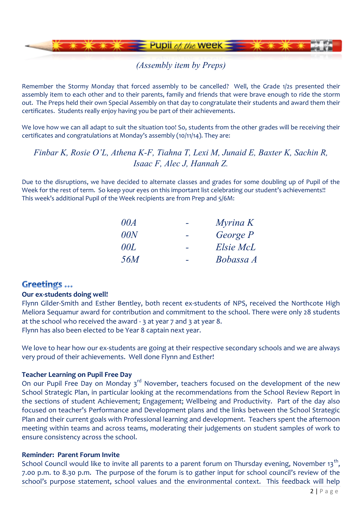

## *(Assembly item by Preps)*

Remember the Stormy Monday that forced assembly to be cancelled? Well, the Grade 1/2s presented their assembly item to each other and to their parents, family and friends that were brave enough to ride the storm out. The Preps held their own Special Assembly on that day to congratulate their students and award them their certificates. Students really enjoy having you be part of their achievements.

We love how we can all adapt to suit the situation too! So, students from the other grades will be receiving their certificates and congratulations at Monday's assembly (10/11/14). They are:

## *Finbar K, Rosie O'L, Athena K-F, Tiahna T, Lexi M, Junaid E, Baxter K, Sachin R, Isaac F, Alec J, Hannah Z.*

Due to the disruptions, we have decided to alternate classes and grades for some doubling up of Pupil of the Week for the rest of term. So keep your eyes on this important list celebrating our student's achievements!! This week's additional Pupil of the Week recipients are from Prep and 5/6M:

| 00A        | Myrina K  |
|------------|-----------|
| 00N        | George P  |
| 00L        | Elsie McL |
| <i>56M</i> | Bobassa A |

## **Greetings...**

#### **Our ex-students doing well!**

Flynn Gilder-Smith and Esther Bentley, both recent ex-students of NPS, received the Northcote High Meliora Sequamur award for contribution and commitment to the school. There were only 28 students at the school who received the award - 3 at year 7 and 3 at year 8. Flynn has also been elected to be Year 8 captain next year.

We love to hear how our ex-students are going at their respective secondary schools and we are always very proud of their achievements. Well done Flynn and Esther!

#### **Teacher Learning on Pupil Free Day**

On our Pupil Free Day on Monday 3<sup>rd</sup> November, teachers focused on the development of the new School Strategic Plan, in particular looking at the recommendations from the School Review Report in the sections of student Achievement; Engagement; Wellbeing and Productivity. Part of the day also focused on teacher's Performance and Development plans and the links between the School Strategic Plan and their current goals with Professional learning and development. Teachers spent the afternoon meeting within teams and across teams, moderating their judgements on student samples of work to ensure consistency across the school.

#### **Reminder: Parent Forum Invite**

School Council would like to invite all parents to a parent forum on Thursday evening, November 13<sup>th</sup>, 7.00 p.m. to 8.30 p.m. The purpose of the forum is to gather input for school council's review of the school's purpose statement, school values and the environmental context. This feedback will help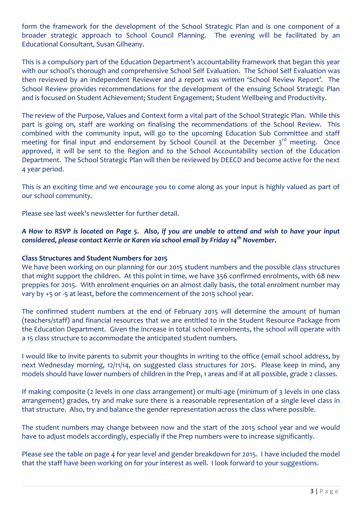form the framework for the development of the School Strategic Plan and is one component of a broader strategic approach to School Council Planning. The evening will be facilitated by an Educational Consultant, Susan Gilheany.

This is a compulsory part of the Education Department's accountability framework that began this year with our school's thorough and comprehensive School Self Evaluation. The School Self Evaluation was then reviewed by an independent Reviewer and a report was written 'School Review Report'. The School Review provides recommendations for the development of the ensuing School Strategic Plan and is focused on Student Achievement; Student Engagement; Student Wellbeing and Productivity.

The review of the Purpose, Values and Context form a vital part of the School Strategic Plan. While this part is going on, staff are working on finalising the recommendations of the School Review. This combined with the community input, will go to the upcoming Education Sub Committee and staff meeting for final input and endorsement by School Council at the December  $3<sup>rd</sup>$  meeting. Once approved, it will be sent to the Region and to the School Accountability section of the Education Department. The School Strategic Plan will then be reviewed by DEECD and become active for the next 4 year period.

This is an exciting time and we encourage you to come along as your input is highly valued as part of our school community.

Please see last week's newsletter for further detail.

#### *A How to RSVP is located on Page 5. Also, if you are unable to attend and wish to have your input considered, please contact Kerrie or Karen via school email by Friday 14th November.*

#### **Class Structures and Student Numbers for 2015**

We have been working on our planning for our 2015 student numbers and the possible class structures that might support the children. At this point in time, we have 356 confirmed enrolments, with 68 new preppies for 2015. With enrolment enquiries on an almost daily basis, the total enrolment number may vary by +5 or -5 at least, before the commencement of the 2015 school year.

The confirmed student numbers at the end of February 2015 will determine the amount of human (teachers/staff) and financial resources that we are entitled to in the Student Resource Package from the Education Department. Given the increase in total school enrolments, the school will operate with a 15 class structure to accommodate the anticipated student numbers.

I would like to invite parents to submit your thoughts in writing to the office (email school address, by next Wednesday morning, 12/11/14, on suggested class structures for 2015. Please keep in mind, any models should have lower numbers of children in the Prep, 1 areas and if at all possible, grade 2 classes.

If making composite (2 levels in one class arrangement) or multi-age (minimum of 3 levels in one class arrangement) grades, try and make sure there is a reasonable representation of a single level class in that structure. Also, try and balance the gender representation across the class where possible.

The student numbers may change between now and the start of the 2015 school year and we would have to adjust models accordingly, especially if the Prep numbers were to increase significantly.

Please see the table on page 4 for year level and gender breakdown for 2015. I have included the model that the staff have been working on for your interest as well. I look forward to your suggestions.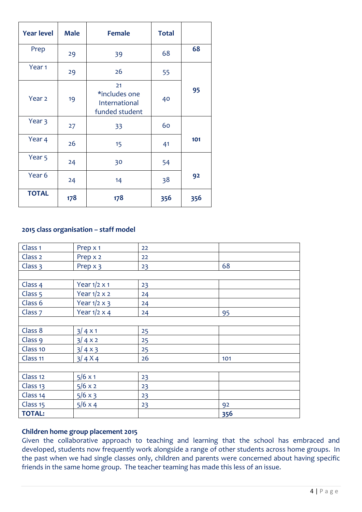| <b>Year level</b> | <b>Male</b> | <b>Female</b>                                          | <b>Total</b> |     |
|-------------------|-------------|--------------------------------------------------------|--------------|-----|
| Prep              | 29          | 39                                                     | 68           | 68  |
| Year <sub>1</sub> | 29          | 26                                                     | 55           |     |
| Year <sub>2</sub> | 19          | 21<br>*includes one<br>International<br>funded student | 40           | 95  |
| Year 3            | 27          | 33                                                     | 60           |     |
| Year 4            | 26          | 15                                                     | 41           | 101 |
| Year <sub>5</sub> | 24          | 30                                                     | 54           |     |
| Year 6            | 24          | 14                                                     | 38           | 92  |
| <b>TOTAL</b>      | 178         | 178                                                    | 356          | 356 |

#### **2015 class organisation – staff model**

| Class <sub>1</sub>  | Prep x 1            | 22 |     |
|---------------------|---------------------|----|-----|
| Class <sub>2</sub>  | Prep x 2            | 22 |     |
| Class 3             | Prep x 3            | 23 | 68  |
|                     |                     |    |     |
| Class 4             | Year $1/2 \times 1$ | 23 |     |
| Class 5             | Year $1/2 \times 2$ | 24 |     |
| Class 6             | Year $1/2 \times 3$ | 24 |     |
| Class <sub>7</sub>  | Year $1/2 \times 4$ | 24 | 95  |
|                     |                     |    |     |
| Class 8             | $3/4 \times 1$      | 25 |     |
| Class 9             | 3/4x2               | 25 |     |
| Class 10            | $3/4 \times 3$      | 25 |     |
| Class <sub>11</sub> | $3/4 X4$            | 26 | 101 |
|                     |                     |    |     |
| Class <sub>12</sub> | $5/6 \times 1$      | 23 |     |
| Class <sub>13</sub> | 5/6 x 2             | 23 |     |
| Class 14            | $5/6 \times 3$      | 23 |     |
| Class 15            | $5/6 \times 4$      | 23 | 92  |
| <b>TOTAL:</b>       |                     |    | 356 |

#### **Children home group placement 2015**

Given the collaborative approach to teaching and learning that the school has embraced and developed, students now frequently work alongside a range of other students across home groups. In the past when we had single classes only, children and parents were concerned about having specific friends in the same home group. The teacher teaming has made this less of an issue.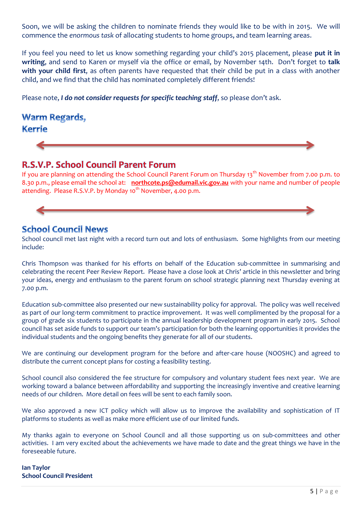Soon, we will be asking the children to nominate friends they would like to be with in 2015. We will commence the *enormous task* of allocating students to home groups, and team learning areas.

If you feel you need to let us know something regarding your child's 2015 placement, please **put it in writing**, and send to Karen or myself via the office or email, by November 14th. Don't forget to **talk with your child first**, as often parents have requested that their child be put in a class with another child, and we find that the child has nominated completely different friends!

Please note, *I do not consider requests for specific teaching staff*, so please don't ask.

## **Warm Regards, Kerrie**

## R.S.V.P. School Council Parent Forum

If you are planning on attending the School Council Parent Forum on Thursday 13<sup>th</sup> November from 7.00 p.m. to 8.30 p.m., please email the school at: **northcote.ps@edumail.vic.gov.au** with your name and number of people attending. Please R.S.V.P. by Monday 10<sup>th</sup> November, 4.00 p.m.

## **School Council News**

School council met last night with a record turn out and lots of enthusiasm. Some highlights from our meeting include:

Chris Thompson was thanked for his efforts on behalf of the Education sub-committee in summarising and celebrating the recent Peer Review Report. Please have a close look at Chris' article in this newsletter and bring your ideas, energy and enthusiasm to the parent forum on school strategic planning next Thursday evening at 7.00 p.m.

Education sub-committee also presented our new sustainability policy for approval. The policy was well received as part of our long-term commitment to practice improvement. It was well complimented by the proposal for a group of grade six students to participate in the annual leadership development program in early 2015. School council has set aside funds to support our team's participation for both the learning opportunities it provides the individual students and the ongoing benefits they generate for all of our students.

We are continuing our development program for the before and after-care house (NOOSHC) and agreed to distribute the current concept plans for costing a feasibility testing.

School council also considered the fee structure for compulsory and voluntary student fees next year. We are working toward a balance between affordability and supporting the increasingly inventive and creative learning needs of our children. More detail on fees will be sent to each family soon.

We also approved a new ICT policy which will allow us to improve the availability and sophistication of IT platforms to students as well as make more efficient use of our limited funds.

My thanks again to everyone on School Council and all those supporting us on sub-committees and other activities. I am very excited about the achievements we have made to date and the great things we have in the foreseeable future.

#### **Ian Taylor School Council President**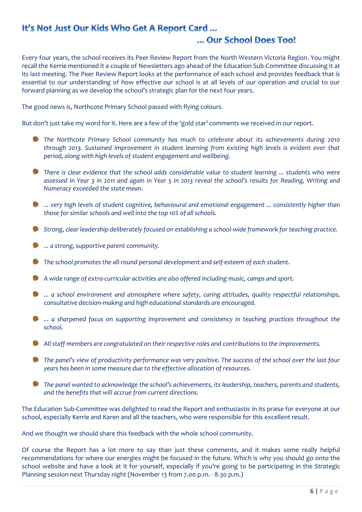## It's Not Just Our Kids Who Get A Report Card ...

## ... Our School Does Too!

Every four years, the school receives its Peer Review Report from the North Western Victoria Region. You might recall the Kerrie mentioned it a couple of Newsletters ago ahead of the Education Sub-Committee discussing it at its last meeting. The Peer Review Report looks at the performance of each school and provides feedback that is essential to our understanding of how effective our school is at all levels of our operation and crucial to our forward planning as we develop the school's strategic plan for the next four years.

The good news is, Northcote Primary School passed with flying colours.

But don't just take my word for it. Here are a few of the 'gold star' comments we received in our report.

- *The Northcote Primary School community has much to celebrate about its achievements during 2010 through 2013. Sustained improvement in student learning from existing high levels is evident over that period, along with high levels of student engagement and wellbeing.*
- *There is clear evidence that the school adds considerable value to student learning ... students who were assessed in Year 3 in 2011 and again in Year 5 in 2013 reveal the school's results for Reading, Writing and Numeracy exceeded the state mean.*
- *... very high levels of student cognitive, behavioural and emotional engagement ... consistently higher than those for similar schools and well into the top 10% of all schools.*
- *Strong, clear leadership deliberately focused on establishing a school-wide framework for teaching practice.*
- **...** *a* strong, supportive parent community.
- *The school promotes the all-round personal development and self-esteem of each student.*
- *A wide range of extra-curricular activities are also offered including music, camps and sport.*
- *... a school environment and atmosphere where safety, caring attitudes, quality respectful relationships, consultative decision-making and high educational standards are encouraged.*
- **\*\*** ... a sharpened focus on supporting improvement and consistency in teaching practices throughout the *school.*
- *All staff members are congratulated on their respective roles and contributions to the improvements.*
- *The panel's view of productivity performance was very positive. The success of the school over the last four years has been in some measure due to the effective allocation of resources.*
- *The panel wanted to acknowledge the school's achievements, its leadership, teachers, parents and students, and the benefits that will accrue from current directions.*

The Education Sub-Committee was delighted to read the Report and enthusiastic in its praise for everyone at our school, especially Kerrie and Karen and all the teachers, who were responsible for this excellent result.

And we thought we should share this feedback with the whole school community.

Of course the Report has a lot more to say than just these comments, and it makes some really helpful recommendations for where our energies might be focused in the future. Which is why you should go onto the school website and have a look at it for yourself, especially if you're going to be participating in the Strategic Planning session next Thursday night (November 13 from 7.00 p.m. - 8.30 p.m.)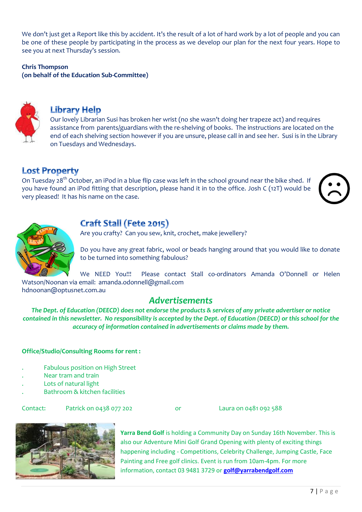We don't just get a Report like this by accident. It's the result of a lot of hard work by a lot of people and you can be one of these people by participating in the process as we develop our plan for the next four years. Hope to see you at next Thursday's session.

**Chris Thompson**

**(on behalf of the Education Sub-Committee)**



### **Library Help**

Our lovely Librarian Susi has broken her wrist (no she wasn't doing her trapeze act) and requires assistance from parents/guardians with the re-shelving of books. The instructions are located on the end of each shelving section however if you are unsure, please call in and see her. Susi is in the Library on Tuesdays and Wednesdays.

## **Lost Property**

On Tuesday 28<sup>th</sup> October, an iPod in a blue flip case was left in the school ground near the bike shed. If you have found an iPod fitting that description, please hand it in to the office. Josh C (12T) would be very pleased! It has his name on the case.





# **Craft Stall (Fete 2015)**

Are you crafty? Can you sew, knit, crochet, make jewellery?

Do you have any great fabric, wool or beads hanging around that you would like to donate to be turned into something fabulous?

We NEED You!!! Please contact Stall co-ordinators Amanda O'Donnell or Helen Watson/Noonan via email: amanda.odonnell@gmail.com hdnoonan@optusnet.com.au

## *Advertisements*

*The Dept. of Education (DEECD) does not endorse the products & services of any private advertiser or notice contained in this newsletter. No responsibility is accepted by the Dept. of Education (DEECD) or this school for the accuracy of information contained in advertisements or claims made by them.*

#### **Office/Studio/Consulting Rooms for rent :**

- . Fabulous position on High Street
- . Near tram and train
- . Lots of natural light
- . Bathroom & kitchen facilities

#### Contact: Patrick on 0438 077 202 or Laura on 0481 092 588



**Yarra Bend Golf** is holding a Community Day on Sunday 16th November. This is also our Adventure Mini Golf Grand Opening with plenty of exciting things happening including - Competitions, Celebrity Challenge, Jumping Castle, Face Painting and Free golf clinics. Event is run from 10am-4pm. For more information, contact 03 9481 3729 or **[golf@yarrabendgolf.com](mailto:golf@yarrabendgolf.com)**